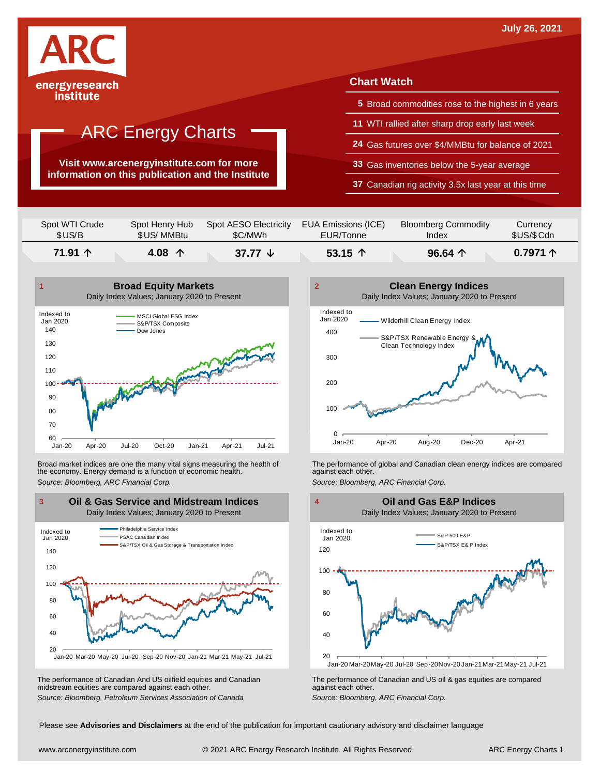

**Visit www.arcenergyinstitute.com for more information on this publication and the Institute**

#### **Chart Watch**

- **5** Broad commodities rose to the highest in 6 years
- **11** WTI rallied after sharp drop early last week
- **24** Gas futures over \$4/MMBtu for balance of 2021
- **33** Gas inventories below the 5-year average
- **37** Canadian rig activity 3.5x last year at this time

| Spot WTI Crude | Spot Henry Hub  | Spot AESO Electricity | EUA Emissions (ICE) | <b>Bloomberg Commodity</b> | Currency          |
|----------------|-----------------|-----------------------|---------------------|----------------------------|-------------------|
| \$US/B         | \$US/MMBtu      | \$C/MWh               | EUR/Tonne           | Index                      | \$US/\$Cdn        |
| 71.91 个        | 4.08 $\uparrow$ | 37.77 $\sqrt{ }$      | 53.15 $\uparrow$    | $96.64$ 个                  | 0.7971 $\uparrow$ |



Broad market indices are one the many vital signs measuring the health of the economy. Energy demand is a function of economic health. Broad market indices are one the many vital signs measuring the health of The performance of global and Canadian clean energy indices are compared<br>the economy. Energy demand is a function of economic health.<br>Source: Bloomb



The performance of Canadian And US oilfield equities and Canadian midstream equities are compared against each other. The performance of Canadian And US oilfield equities and Canadian **Frank Constant Prank Constant Prank Constant**<br>The performance of Canadian and US oil & gas equities are compared<br>Source: Bloomberg, Petroleum Services Asso



 20 40 60 80 100 120 Jan-20 Mar-20May-20 Jul-20 Sep-20Nov-20 Jan-21Mar-21May-21 Jul-21 S&P 500 E&P S&P/TSX E& P Index Indexed to Jan 2020 **Oil and Gas E&P Indices** Daily Index Values; January 2020 to Present

Please see **Advisories and Disclaimers** at the end of the publication for important cautionary advisory and disclaimer language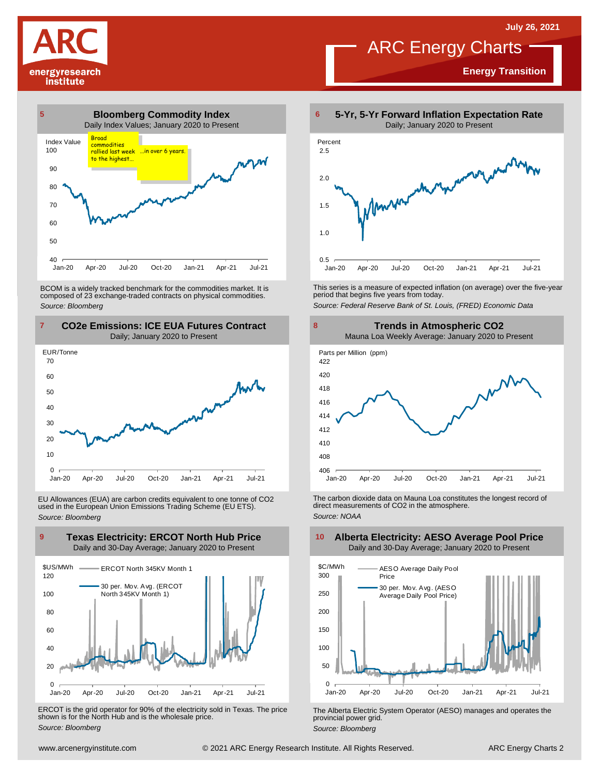**Energy Transition**

# ARC Energy Charts

energyresearch institute



BCOM is <sup>a</sup> widely tracked benchmark for the commodities market. It is composed of <sup>23</sup> exchange-traded contracts on physical commodities. *Source: Bloomberg*



EU Allowances (EUA) are carbon credits equivalent to one tonne of CO2 used in the European Union Emissions Trading Scheme (EU ETS). *Source: Bloomberg*



ERCOT is the grid operator for 90% of the electricity sold in Texas. The price shown is for the North Hub and is the wholesale price. *Source: Bloomberg*



This series is <sup>a</sup> measure of expected inflation (on average) over the five-year period that begins five years from today.

*Source: Federal Reserve Bank of St. Louis, (FRED) Economic Data*



The carbon dioxide data on Mauna Loa constitutes the longest record of direct measurements of CO2 in the atmosphere. *Source: NOAA*



The Alberta Electric System Operator (AESO) manages and operates the provincial power grid. *Source: Bloomberg*

#### **Alberta Electricity: AESO Average Pool Price** Daily and 30-Day Average; January 2020 to Present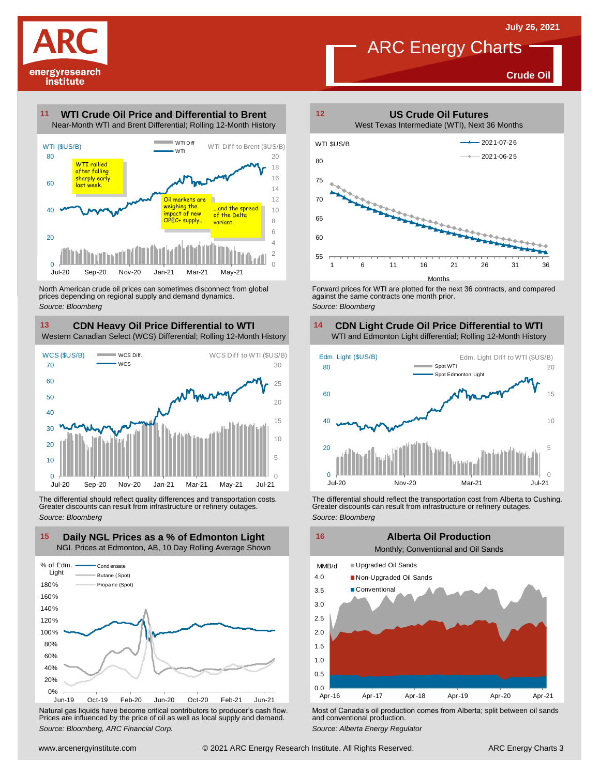

#### **Crude Oil**

#### **WTI Crude Oil Price and Differential to Brent 11**



North American crude oil prices can sometimes disconnect from global prices depending on regional supply and demand dynamics. *Source: Bloomberg*

### **CDN Heavy Oil Price Differential to WTI 13 14**

Western Canadian Select (WCS) Differential; Rolling 12-Month History



The differential should reflect quality differences and transportation costs. Greater discounts can result from infrastructure or refinery outages. *Source: Bloomberg*



Natural gas liquids have become critical contributors to producer's cash flow. Most of Canada's oil production comes from Alberta; split between oil sands<br>Prices are influenced by the price of oil as well as local supply a



Forward prices for WTI are plotted for the next 36 contracts, and compared against the same contracts one month prior. *Source: Bloomberg*

## **CDN Light Crude Oil Price Differential to WTI**



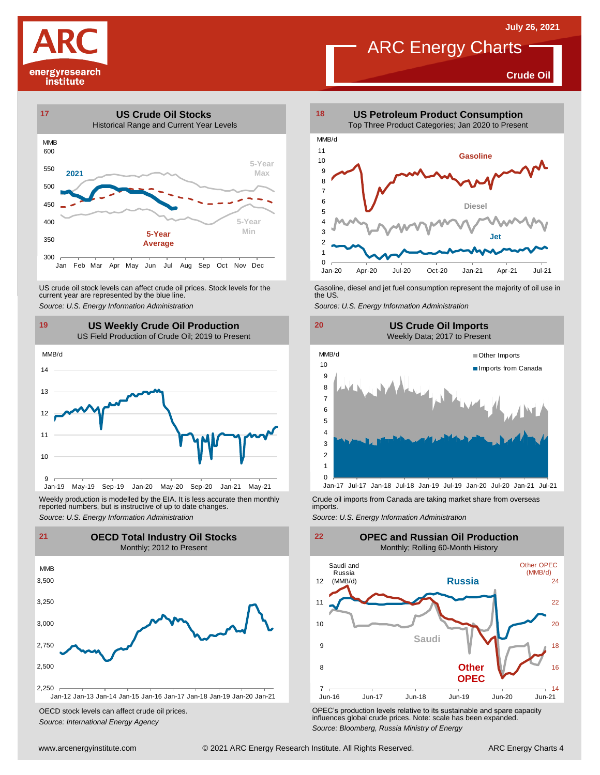**Crude Oil**





US crude oil stock levels can affect crude oil prices. Stock levels for the Gasoline, diesel and jet fuel consumption represent the majority of oil use in<br>current year are represented by the blue line.<br>Source: U.S. Energy



Weekly production is modelled by the EIA. It is less accurate then monthly reported numbers, but is instructive of up to date changes. Weekly production is modelled by the EIA. It is less accurate then monthly Crude oil imports from Canada are taking market share from overseas<br>
reported numbers, but is instructive of up to date changes.<br>
Source: U.S. Ener



OECD stock levels can affect crude oil prices. *Source: International Energy Agency*



#### **19 20 US Weekly Crude Oil Production US Crude Oil Imports** Weekly Data; 2017 to Present





OPEC's production levels relative to its sustainable and spare capacity influences global crude prices. Note: scale has been expanded. *Source: Bloomberg, Russia Ministry of Energy*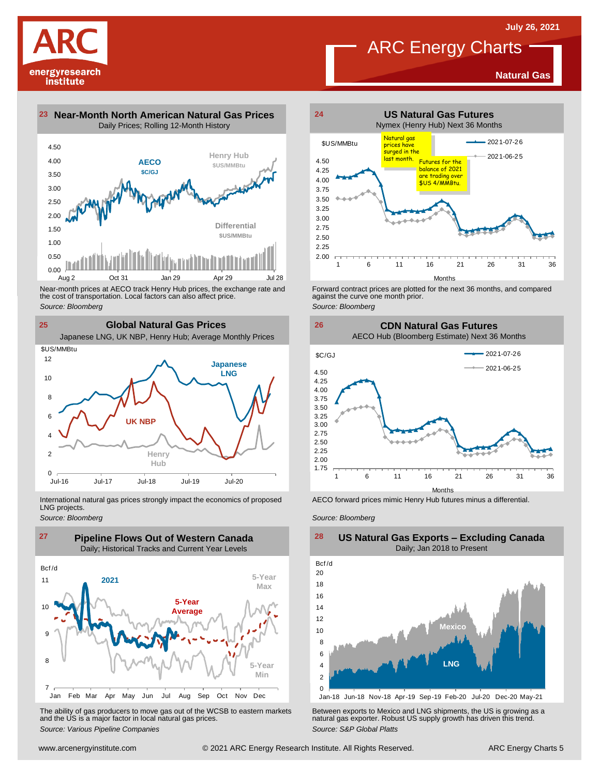**Natural Gas**





Near-month prices at AECO track Henry Hub prices, the exchange rate and<br>the cost of transportation. Local factors can also affect price.<br>Source: Bloomberg<br>**Clobal Natural Gas Prices**<br>Japanese LNG, UK NBP, Henry Hub; Averag the cost of transportation. Local factors can also affect price. *Source: Bloomberg*



International natural gas prices strongly impact the economics of proposed LNG projects.

*Source: Bloomberg*



The ability of gas producers to move gas out of the WCSB to eastern markets Between exports to Mexico and LNG shipments, the US is growing as a<br>and the US is a major factor in local natural gas prices.<br>Source: S&P Global P



**ARC Energy Charts** 

Forward contract prices are plotted for the next <sup>36</sup> months, and compared against the curve one month prior. *Source: Bloomberg*





AECO forward prices mimic Henry Hub futures minus a differential.

*Source: Bloomberg*



### **US Natural Gas Exports – Excluding Canada** Daily; Jan 2018 to Present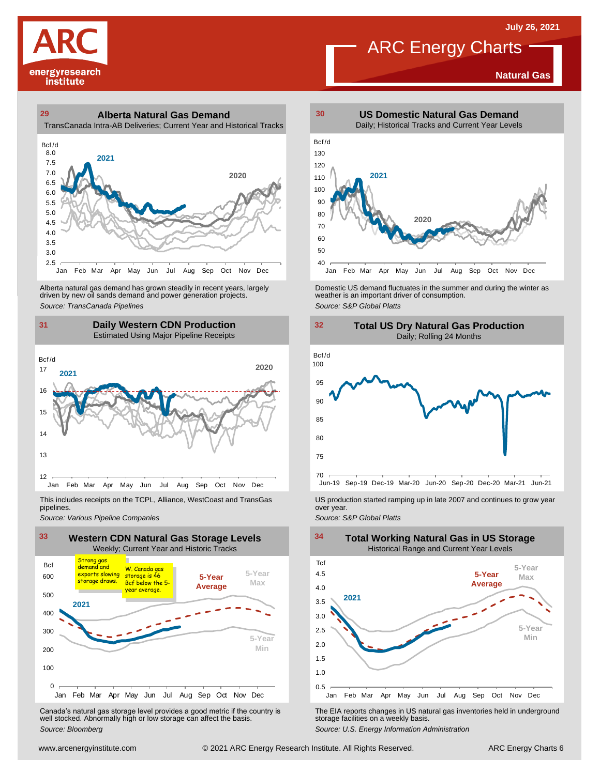**Natural Gas**



### **29 30 Alberta Natural Gas Demand** TransCanada Intra-AB Deliveries; Current Year and Historical Tracks



Alberta natural gas demand has grown steadily in recent years, largely<br>
driven by new oil sands demand and power generation projects.<br>
Source: TransCanada Pipelines<br>
Source: S&P Global Platts<br>
Daily Western CDN Production<br> Alberta natural gas demand has grown steadily in recent years, largely and Domestic US demand fluctuates in the summer and during the winter as driven by new oil sands demand and power generation projects.<br>Aniver by new oi

### **31 32 Daily Western CDN Production** Estimated Using Major Pipeline Receipts  $\frac{31}{\text{Bcf/d}}$



This includes receipts on the TCPL, Alliance, WestCoast and TransGas pipelines.



Canada's natural gas storage level provides <sup>a</sup> good metric if the country is well stocked. Abnormally high or low storage can affect the basis. *Source: Bloomberg*



ARC Energy Charts



Jun-19 Sep-19 Dec-19 Mar-20 Jun-20 Sep-20 Dec-20 Mar-21 Jun-21

*Source: Pipelines Pipelines Pipelines Pipelines DSproduction started ramping up in late 2007 and continues to grow year pipelines. Source: Various Pipeline Companies Source: Various Pipeline Companies SA* 



The EIA reports changes in US natural gas inventories held in underground storage facilities on <sup>a</sup> weekly basis.

*Source: U.S. Energy Information Administration*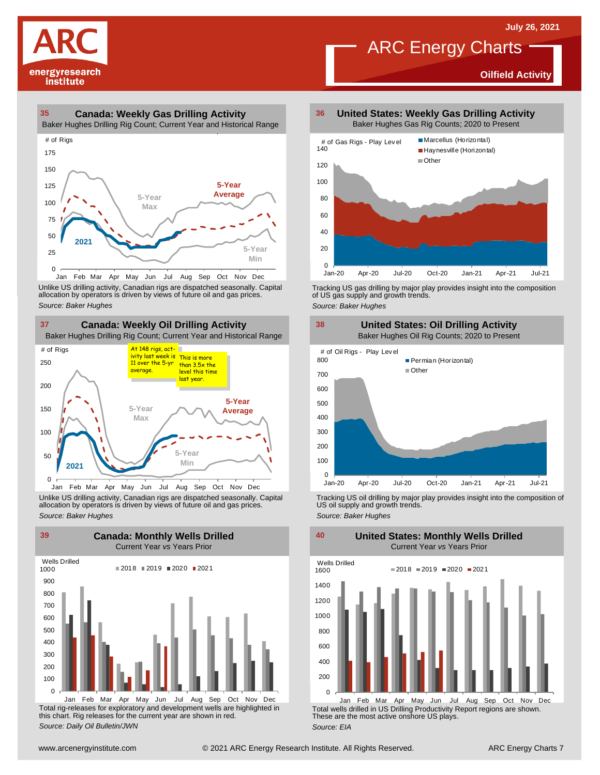**Oilfield Activity**



#### **35 36 Canada: Weekly Gas Drilling Activity**

Baker Hughes Drilling Rig Count; Current Year and Historical Range



Unlike US drilling activity, Canadian rigs are dispatched seasonally. Capital<br>allocation by operators is driven by views of future oil and gas prices. 0<br>Jan Feb Mar A<br>Unlike US drilling activi<br>allocation by operators<br>Source: Baker Hughes



Unlike US drilling activity, Canadian rigs are dispatched seasonally. Capital Tracking US oil drilling by major play provides insight into the composition of<br>allocation by operators is driven by views of future oil and gas



Total rig-releases for exploratory and development wells are highlighted in this chart. Rig releases for the current year are shown in red. *Source: Daily Oil Bulletin/JWN*

**United States: Weekly Gas Drilling Activity** Baker Hughes Gas Rig Counts; 2020 to Present

ARC Energy Charts



Tracking US gas drilling by major play provides insight into the composition of US gas supply and growth trends.

*Source: Baker Hughes*



Tracking US oil drilling by major play provides insight into the composition of US oil supply and growth trends. *Source: Baker Hughes*

**United States: Monthly Wells Drilled**

 $\Omega$ 200 400 600 800 1000 1200 1400 1600 Wells Drilled  $2018 = 2019 = 2020 = 2021$ 

Total wells drilled in US Drilling Productivity Report regions are shown. These are the most active onshore US plays. *Source: EIA* Jan Feb Mar Apr May Jun Jul Aug Sep Oct Nov Dec